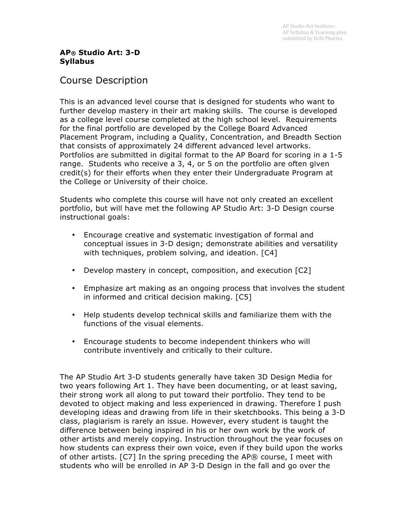## **AP® Studio Art: 3-D Syllabus**

# Course Description

This is an advanced level course that is designed for students who want to further develop mastery in their art making skills. The course is developed as a college level course completed at the high school level. Requirements for the final portfolio are developed by the College Board Advanced Placement Program, including a Quality, Concentration, and Breadth Section that consists of approximately 24 different advanced level artworks. Portfolios are submitted in digital format to the AP Board for scoring in a 1-5 range. Students who receive a 3, 4, or 5 on the portfolio are often given credit(s) for their efforts when they enter their Undergraduate Program at the College or University of their choice.

Students who complete this course will have not only created an excellent portfolio, but will have met the following AP Studio Art: 3-D Design course instructional goals:

- Encourage creative and systematic investigation of formal and conceptual issues in 3-D design; demonstrate abilities and versatility with techniques, problem solving, and ideation. [C4]
- Develop mastery in concept, composition, and execution [C2]
- Emphasize art making as an ongoing process that involves the student in informed and critical decision making. [C5]
- Help students develop technical skills and familiarize them with the functions of the visual elements.
- Encourage students to become independent thinkers who will contribute inventively and critically to their culture.

The AP Studio Art 3-D students generally have taken 3D Design Media for two years following Art 1. They have been documenting, or at least saving, their strong work all along to put toward their portfolio. They tend to be devoted to object making and less experienced in drawing. Therefore I push developing ideas and drawing from life in their sketchbooks. This being a 3-D class, plagiarism is rarely an issue. However, every student is taught the difference between being inspired in his or her own work by the work of other artists and merely copying. Instruction throughout the year focuses on how students can express their own voice, even if they build upon the works of other artists. [C7] In the spring preceding the AP® course, I meet with students who will be enrolled in AP 3-D Design in the fall and go over the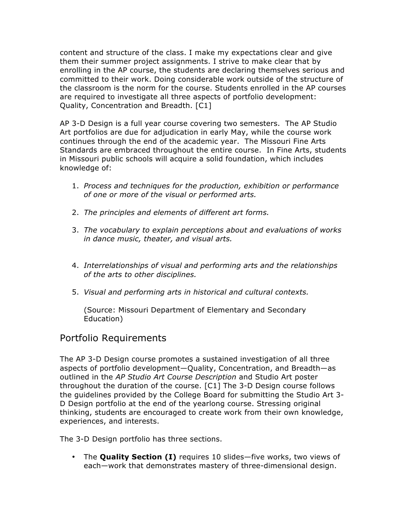content and structure of the class. I make my expectations clear and give them their summer project assignments. I strive to make clear that by enrolling in the AP course, the students are declaring themselves serious and committed to their work. Doing considerable work outside of the structure of the classroom is the norm for the course. Students enrolled in the AP courses are required to investigate all three aspects of portfolio development: Quality, Concentration and Breadth. [C1]

AP 3-D Design is a full year course covering two semesters. The AP Studio Art portfolios are due for adjudication in early May, while the course work continues through the end of the academic year. The Missouri Fine Arts Standards are embraced throughout the entire course. In Fine Arts, students in Missouri public schools will acquire a solid foundation, which includes knowledge of:

- 1. *Process and techniques for the production, exhibition or performance of one or more of the visual or performed arts.*
- 2. *The principles and elements of different art forms.*
- 3. *The vocabulary to explain perceptions about and evaluations of works in dance music, theater, and visual arts.*
- 4. *Interrelationships of visual and performing arts and the relationships of the arts to other disciplines.*
- 5. *Visual and performing arts in historical and cultural contexts.*

(Source: Missouri Department of Elementary and Secondary Education)

# Portfolio Requirements

The AP 3-D Design course promotes a sustained investigation of all three aspects of portfolio development—Quality, Concentration, and Breadth—as outlined in the *AP Studio Art Course Description* and Studio Art poster throughout the duration of the course. [C1] The 3-D Design course follows the guidelines provided by the College Board for submitting the Studio Art 3- D Design portfolio at the end of the yearlong course. Stressing original thinking, students are encouraged to create work from their own knowledge, experiences, and interests.

The 3-D Design portfolio has three sections.

• The **Quality Section (I)** requires 10 slides—five works, two views of each—work that demonstrates mastery of three-dimensional design.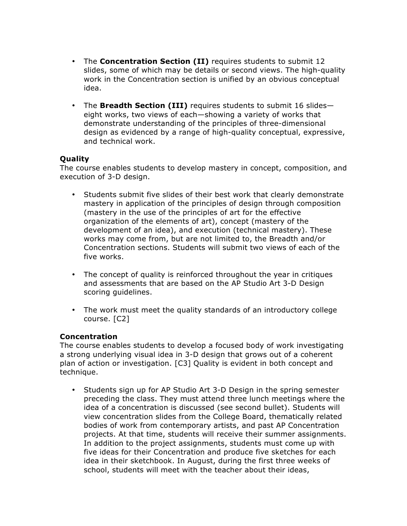- The **Concentration Section (II)** requires students to submit 12 slides, some of which may be details or second views. The high-quality work in the Concentration section is unified by an obvious conceptual idea.
- The **Breadth Section (III)** requires students to submit 16 slides eight works, two views of each—showing a variety of works that demonstrate understanding of the principles of three-dimensional design as evidenced by a range of high-quality conceptual, expressive, and technical work.

## **Quality**

The course enables students to develop mastery in concept, composition, and execution of 3-D design.

- Students submit five slides of their best work that clearly demonstrate mastery in application of the principles of design through composition (mastery in the use of the principles of art for the effective organization of the elements of art), concept (mastery of the development of an idea), and execution (technical mastery). These works may come from, but are not limited to, the Breadth and/or Concentration sections. Students will submit two views of each of the five works.
- The concept of quality is reinforced throughout the year in critiques and assessments that are based on the AP Studio Art 3-D Design scoring guidelines.
- The work must meet the quality standards of an introductory college course. [C2]

## **Concentration**

The course enables students to develop a focused body of work investigating a strong underlying visual idea in 3-D design that grows out of a coherent plan of action or investigation. [C3] Quality is evident in both concept and technique.

• Students sign up for AP Studio Art 3-D Design in the spring semester preceding the class. They must attend three lunch meetings where the idea of a concentration is discussed (see second bullet). Students will view concentration slides from the College Board, thematically related bodies of work from contemporary artists, and past AP Concentration projects. At that time, students will receive their summer assignments. In addition to the project assignments, students must come up with five ideas for their Concentration and produce five sketches for each idea in their sketchbook. In August, during the first three weeks of school, students will meet with the teacher about their ideas,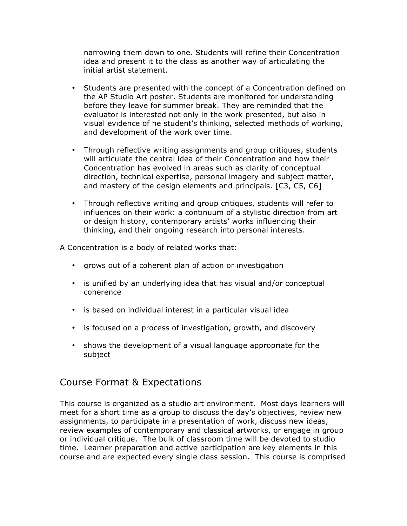narrowing them down to one. Students will refine their Concentration idea and present it to the class as another way of articulating the initial artist statement.

- Students are presented with the concept of a Concentration defined on the AP Studio Art poster. Students are monitored for understanding before they leave for summer break. They are reminded that the evaluator is interested not only in the work presented, but also in visual evidence of he student's thinking, selected methods of working, and development of the work over time.
- Through reflective writing assignments and group critiques, students will articulate the central idea of their Concentration and how their Concentration has evolved in areas such as clarity of conceptual direction, technical expertise, personal imagery and subject matter, and mastery of the design elements and principals. [C3, C5, C6]
- Through reflective writing and group critiques, students will refer to influences on their work: a continuum of a stylistic direction from art or design history, contemporary artists' works influencing their thinking, and their ongoing research into personal interests.

A Concentration is a body of related works that:

- grows out of a coherent plan of action or investigation
- is unified by an underlying idea that has visual and/or conceptual coherence
- is based on individual interest in a particular visual idea
- is focused on a process of investigation, growth, and discovery
- shows the development of a visual language appropriate for the subject

# Course Format & Expectations

This course is organized as a studio art environment. Most days learners will meet for a short time as a group to discuss the day's objectives, review new assignments, to participate in a presentation of work, discuss new ideas, review examples of contemporary and classical artworks, or engage in group or individual critique. The bulk of classroom time will be devoted to studio time. Learner preparation and active participation are key elements in this course and are expected every single class session. This course is comprised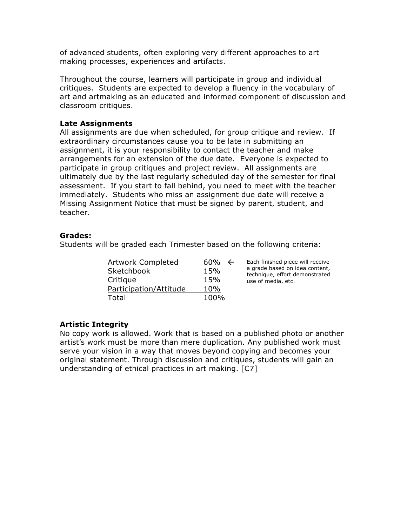of advanced students, often exploring very different approaches to art making processes, experiences and artifacts.

Throughout the course, learners will participate in group and individual critiques. Students are expected to develop a fluency in the vocabulary of art and artmaking as an educated and informed component of discussion and classroom critiques.

## **Late Assignments**

All assignments are due when scheduled, for group critique and review. If extraordinary circumstances cause you to be late in submitting an assignment, it is your responsibility to contact the teacher and make arrangements for an extension of the due date. Everyone is expected to participate in group critiques and project review. All assignments are ultimately due by the last regularly scheduled day of the semester for final assessment. If you start to fall behind, you need to meet with the teacher immediately. Students who miss an assignment due date will receive a Missing Assignment Notice that must be signed by parent, student, and teacher.

## **Grades:**

Students will be graded each Trimester based on the following criteria:

| Artwork Completed      | 60%  | $\leftarrow$ | Each finished piece will receive<br>a grade based on idea content,<br>technique, effort demonstrated |
|------------------------|------|--------------|------------------------------------------------------------------------------------------------------|
| <b>Sketchbook</b>      | 15%  |              |                                                                                                      |
| Critique               | 15%  |              | use of media, etc.                                                                                   |
| Participation/Attitude | 10%  |              |                                                                                                      |
| Total                  | 100% |              |                                                                                                      |

## **Artistic Integrity**

No copy work is allowed. Work that is based on a published photo or another artist's work must be more than mere duplication. Any published work must serve your vision in a way that moves beyond copying and becomes your original statement. Through discussion and critiques, students will gain an understanding of ethical practices in art making. [C7]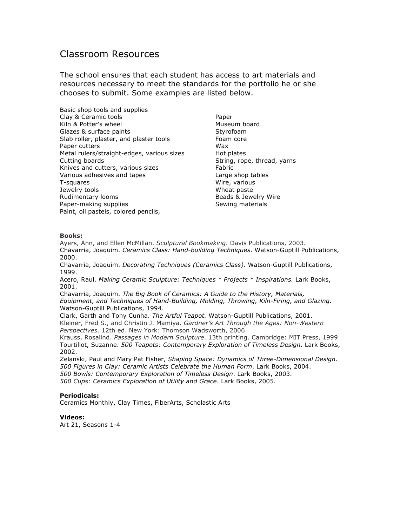# Classroom Resources

The school ensures that each student has access to art materials and resources necessary to meet the standards for the portfolio he or she chooses to submit. Some examples are listed below.

| Basic shop tools and supplies              |
|--------------------------------------------|
| Clay & Ceramic tools                       |
| Kiln & Potter's wheel                      |
|                                            |
| Glazes & surface paints                    |
| Slab roller, plaster, and plaster tools    |
| Paper cutters                              |
| Metal rulers/straight-edges, various sizes |
| Cutting boards                             |
| Knives and cutters, various sizes          |
| Various adhesives and tapes                |
| T-squares                                  |
| Jewelry tools                              |
| Rudimentary looms                          |
| Paper-making supplies                      |
| Paint, oil pastels, colored pencils,       |

Paper Museum board Styrofoam Foam core Wax Hot plates String, rope, thread, yarns Fabric Large shop tables Wire, various Wheat paste Beads & Jewelry Wire Sewing materials

## **Books:**

Ayers, Ann, and Ellen McMillan. *Sculptural Bookmaking*. Davis Publications, 2003. Chavarria, Joaquim. *Ceramics Class: Hand-building Techniques*. Watson-Guptill Publications, 2000.

Chavarria, Joaquim. *Decorating Techniques (Ceramics Class)*. Watson-Guptill Publications, 1999.

Acero, Raul. *Making Ceramic Sculpture: Techniques \* Projects \* Inspirations.* Lark Books, 2001.

Chavarria, Joaquim. *The Big Book of Ceramics: A Guide to the History, Materials, Equipment, and Techniques of Hand-Building, Molding, Throwing, Kiln-Firing, and Glazing.*  Watson-Guptill Publications, 1994.

Clark, Garth and Tony Cunha. *The Artful Teapot.* Watson-Guptill Publications, 2001. Kleiner, Fred S., and Christin J. Mamiya. *Gardner's Art Through the Ages: Non-Western Perspectives*. 12th ed. New York: Thomson Wadsworth, 2006

Krauss, Rosalind. *Passages in Modern Sculpture*. 13th printing. Cambridge: MIT Press, 1999 Tourtillot, Suzanne. *500 Teapots: Contemporary Exploration of Timeless Design*. Lark Books, 2002.

Zelanski, Paul and Mary Pat Fisher, *Shaping Space: Dynamics of Three-Dimensional Design*. *500 Figures in Clay: Ceramic Artists Celebrate the Human Form*. Lark Books, 2004. *500 Bowls: Contemporary Exploration of Timeless Design*. Lark Books, 2003. *500 Cups: Ceramics Exploration of Utility and Grace*. Lark Books, 2005.

## **Periodicals:**

Ceramics Monthly, Clay Times, FiberArts, Scholastic Arts

**Videos:** Art 21, Seasons 1-4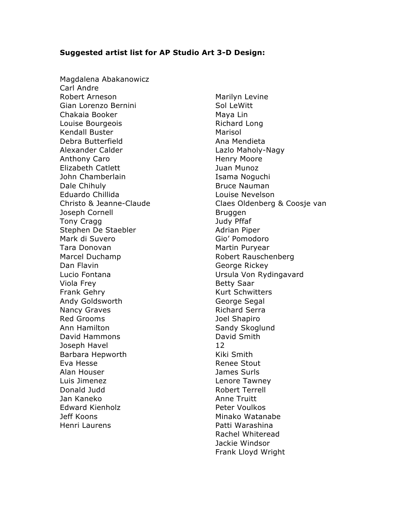## **Suggested artist list for AP Studio Art 3-D Design:**

Magdalena Abakanowicz Carl Andre Robert Arneson Gian Lorenzo Bernini Chakaia Booker Louise Bourgeois Kendall Buster Debra Butterfield Alexander Calder Anthony Caro Elizabeth Catlett John Chamberlain Dale Chihuly Eduardo Chillida Christo & Jeanne-Claude Joseph Cornell Tony Cragg Stephen De Staebler Mark di Suvero Tara Donovan Marcel Duchamp Dan Flavin Lucio Fontana Viola Frey Frank Gehry Andy Goldsworth Nancy Graves Red Grooms Ann Hamilton David Hammons Joseph Havel Barbara Hepworth Eva Hesse Alan Houser Luis Jimenez Donald Judd Jan Kaneko Edward Kienholz Jeff Koons Henri Laurens

Marilyn Levine Sol LeWitt Maya Lin Richard Long Marisol Ana Mendieta Lazlo Maholy-Nagy Henry Moore Juan Munoz Isama Noguchi Bruce Nauman Louise Nevelson Claes Oldenberg & Coosje van Bruggen Judy Pffaf Adrian Piper Gio' Pomodoro Martin Puryear Robert Rauschenberg George Rickey Ursula Von Rydingavard Betty Saar Kurt Schwitters George Segal Richard Serra Joel Shapiro Sandy Skoglund David Smith 12 Kiki Smith Renee Stout James Surls Lenore Tawney Robert Terrell Anne Truitt Peter Voulkos Minako Watanabe Patti Warashina Rachel Whiteread Jackie Windsor Frank Lloyd Wright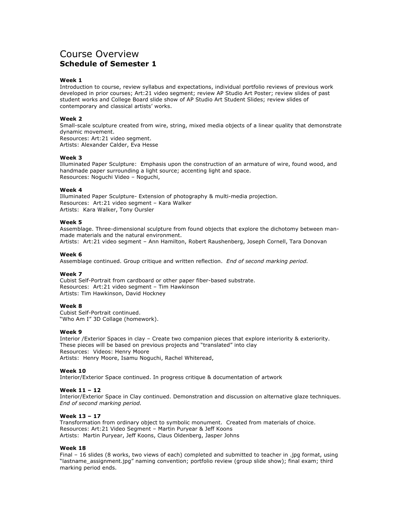# Course Overview **Schedule of Semester 1**

## **Week 1**

Introduction to course, review syllabus and expectations, individual portfolio reviews of previous work developed in prior courses; Art:21 video segment; review AP Studio Art Poster; review slides of past student works and College Board slide show of AP Studio Art Student Slides; review slides of contemporary and classical artists' works.

#### **Week 2**

Small-scale sculpture created from wire, string, mixed media objects of a linear quality that demonstrate dynamic movement. Resources: Art:21 video segment.

Artists: Alexander Calder, Eva Hesse

#### **Week 3**

Illuminated Paper Sculpture: Emphasis upon the construction of an armature of wire, found wood, and handmade paper surrounding a light source; accenting light and space. Resources: Noguchi Video – Noguchi,

#### **Week 4**

Illuminated Paper Sculpture- Extension of photography & multi-media projection. Resources: Art:21 video segment – Kara Walker Artists: Kara Walker, Tony Oursler

#### **Week 5**

Assemblage. Three-dimensional sculpture from found objects that explore the dichotomy between manmade materials and the natural environment. Artists: Art:21 video segment – Ann Hamilton, Robert Raushenberg, Joseph Cornell, Tara Donovan

#### **Week 6**

Assemblage continued. Group critique and written reflection. *End of second marking period.*

#### **Week 7**

Cubist Self-Portrait from cardboard or other paper fiber-based substrate. Resources: Art:21 video segment – Tim Hawkinson Artists: Tim Hawkinson, David Hockney

#### **Week 8**

Cubist Self-Portrait continued. "Who Am I" 3D Collage (homework).

## **Week 9**

Interior /Exterior Spaces in clay – Create two companion pieces that explore interiority & exteriority. These pieces will be based on previous projects and "translated" into clay Resources: Videos: Henry Moore Artists: Henry Moore, Isamu Noguchi, Rachel Whiteread,

## **Week 10**

Interior/Exterior Space continued. In progress critique & documentation of artwork

## **Week 11 – 12**

Interior/Exterior Space in Clay continued. Demonstration and discussion on alternative glaze techniques. *End of second marking period.*

## **Week 13 – 17**

Transformation from ordinary object to symbolic monument. Created from materials of choice. Resources: Art:21 Video Segment – Martin Puryear & Jeff Koons Artists: Martin Puryear, Jeff Koons, Claus Oldenberg, Jasper Johns

#### **Week 18**

Final – 16 slides (8 works, two views of each) completed and submitted to teacher in .jpg format, using "lastname\_assignment.jpg" naming convention; portfolio review (group slide show); final exam; third marking period ends.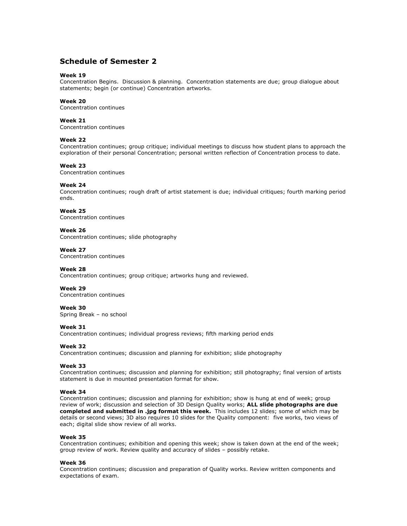## **Schedule of Semester 2**

## **Week 19**

Concentration Begins. Discussion & planning. Concentration statements are due; group dialogue about statements; begin (or continue) Concentration artworks.

## **Week 20**

Concentration continues

## **Week 21**

Concentration continues

## **Week 22**

Concentration continues; group critique; individual meetings to discuss how student plans to approach the exploration of their personal Concentration; personal written reflection of Concentration process to date.

## **Week 23**

Concentration continues

## **Week 24**

Concentration continues; rough draft of artist statement is due; individual critiques; fourth marking period ends.

## **Week 25**

Concentration continues

## **Week 26**

Concentration continues; slide photography

## **Week 27**

Concentration continues

## **Week 28**

Concentration continues; group critique; artworks hung and reviewed.

## **Week 29**

Concentration continues

## **Week 30**

Spring Break – no school

## **Week 31**  Concentration continues; individual progress reviews; fifth marking period ends

## **Week 32**

Concentration continues; discussion and planning for exhibition; slide photography

## **Week 33**

Concentration continues; discussion and planning for exhibition; still photography; final version of artists statement is due in mounted presentation format for show.

## **Week 34**

Concentration continues; discussion and planning for exhibition; show is hung at end of week; group review of work; discussion and selection of 3D Design Quality works; **ALL slide photographs are due completed and submitted in .jpg format this week.** This includes 12 slides; some of which may be details or second views; 3D also requires 10 slides for the Quality component: five works, two views of each; digital slide show review of all works.

## **Week 35**

Concentration continues; exhibition and opening this week; show is taken down at the end of the week; group review of work. Review quality and accuracy of slides – possibly retake.

#### **Week 36**

Concentration continues; discussion and preparation of Quality works. Review written components and expectations of exam.